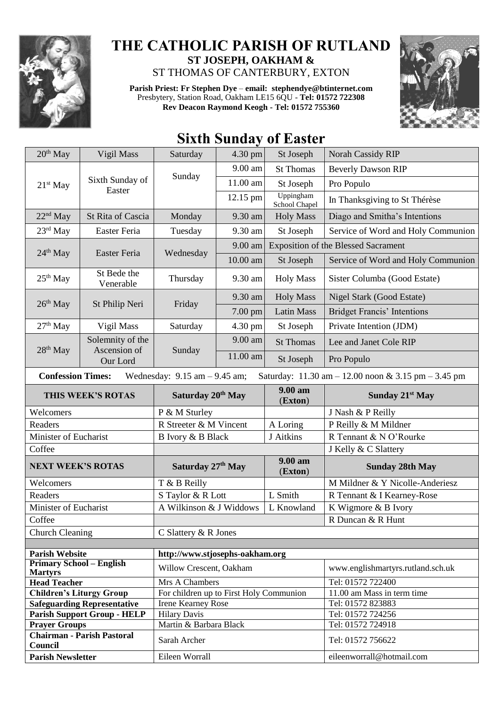

## **THE CATHOLIC PARISH OF RUTLAND ST JOSEPH, OAKHAM &**  ST THOMAS OF CANTERBURY, EXTON

**Parish Priest: Fr Stephen Dye** – **[email: stephendye@btinternet.com](mailto:email:%20%20stephendye@btinternet.com)** Presbytery, Station Road, Oakham LE15 6QU - **Tel: 01572 722308 Rev Deacon Raymond Keogh - Tel: 01572 755360**



## **Sixth Sunday of Easter**

| 20 <sup>th</sup> May                              | Vigil Mass                         | Saturday                                | 4.30 pm  | St Joseph                                  | <b>Norah Cassidy RIP</b>                                                               |
|---------------------------------------------------|------------------------------------|-----------------------------------------|----------|--------------------------------------------|----------------------------------------------------------------------------------------|
| 21 <sup>st</sup> May                              | Sixth Sunday of<br>Easter          | Sunday                                  | 9.00 am  | <b>St Thomas</b>                           | <b>Beverly Dawson RIP</b>                                                              |
|                                                   |                                    |                                         | 11.00 am | St Joseph                                  | Pro Populo                                                                             |
|                                                   |                                    |                                         | 12.15 pm | Uppingham<br>School Chapel                 | In Thanksgiving to St Thérèse                                                          |
| $22nd$ May                                        | St Rita of Cascia                  | Monday                                  | 9.30 am  | <b>Holy Mass</b>                           | Diago and Smitha's Intentions                                                          |
| $23rd$ May                                        | Easter Feria                       | Tuesday                                 | 9.30 am  | St Joseph                                  | Service of Word and Holy Communion                                                     |
| $24th$ May                                        | Easter Feria                       | Wednesday                               | 9.00 am  | <b>Exposition of the Blessed Sacrament</b> |                                                                                        |
|                                                   |                                    |                                         | 10.00 am | St Joseph                                  | Service of Word and Holy Communion                                                     |
| $25th$ May                                        | St Bede the<br>Venerable           | Thursday                                | 9.30 am  | <b>Holy Mass</b>                           | Sister Columba (Good Estate)                                                           |
| $26th$ May                                        | St Philip Neri                     | Friday                                  | 9.30 am  | <b>Holy Mass</b>                           | Nigel Stark (Good Estate)                                                              |
|                                                   |                                    |                                         | 7.00 pm  | <b>Latin Mass</b>                          | <b>Bridget Francis' Intentions</b>                                                     |
| $27th$ May                                        | Vigil Mass                         | Saturday                                | 4.30 pm  | St Joseph                                  | Private Intention (JDM)                                                                |
| $28th$ May                                        | Solemnity of the<br>Ascension of   | Sunday                                  | 9.00 am  | <b>St Thomas</b>                           | Lee and Janet Cole RIP                                                                 |
|                                                   | Our Lord                           |                                         | 11.00 am | St Joseph                                  | Pro Populo                                                                             |
| <b>Confession Times:</b>                          |                                    | Wednesday: $9.15$ am $-9.45$ am;        |          |                                            | Saturday: $11.30 \text{ am} - 12.00 \text{ noon} \& 3.15 \text{ pm} - 3.45 \text{ pm}$ |
| THIS WEEK'S ROTAS                                 |                                    | Saturday 20 <sup>th</sup> May           |          | 9.00 am<br>(Exton)                         | Sunday 21 <sup>st</sup> May                                                            |
|                                                   |                                    |                                         |          |                                            |                                                                                        |
| Welcomers                                         |                                    | P & M Sturley                           |          |                                            | J Nash & P Reilly                                                                      |
| Readers                                           |                                    | R Streeter & M Vincent                  |          | A Loring                                   | P Reilly & M Mildner                                                                   |
| Minister of Eucharist                             |                                    | B Ivory & B Black                       |          | J Aitkins                                  | R Tennant & N O'Rourke                                                                 |
| Coffee                                            |                                    |                                         |          |                                            | J Kelly & C Slattery                                                                   |
| <b>NEXT WEEK'S ROTAS</b>                          |                                    | Saturday 27th May                       |          | 9.00 am<br>(Exton)                         | <b>Sunday 28th May</b>                                                                 |
| Welcomers                                         |                                    | T & B Reilly                            |          |                                            | M Mildner & Y Nicolle-Anderiesz                                                        |
| Readers                                           |                                    | S Taylor & R Lott                       |          | L Smith                                    | R Tennant & I Kearney-Rose                                                             |
| Minister of Eucharist                             |                                    | A Wilkinson & J Widdows                 |          | L Knowland                                 | K Wigmore & B Ivory                                                                    |
| Coffee                                            |                                    |                                         |          |                                            | R Duncan & R Hunt                                                                      |
| <b>Church Cleaning</b>                            |                                    | C Slattery & R Jones                    |          |                                            |                                                                                        |
|                                                   |                                    |                                         |          |                                            |                                                                                        |
| <b>Parish Website</b>                             |                                    | http://www.stjosephs-oakham.org         |          |                                            |                                                                                        |
| <b>Primary School – English</b><br><b>Martyrs</b> |                                    | Willow Crescent, Oakham                 |          |                                            | www.englishmartyrs.rutland.sch.uk                                                      |
| <b>Head Teacher</b>                               |                                    | Mrs A Chambers                          |          |                                            | Tel: 01572 722400                                                                      |
| <b>Children's Liturgy Group</b>                   |                                    | For children up to First Holy Communion |          |                                            | 11.00 am Mass in term time                                                             |
|                                                   | <b>Safeguarding Representative</b> | <b>Irene Kearney Rose</b>               |          |                                            | Tel: 01572 823883                                                                      |
|                                                   | <b>Parish Support Group - HELP</b> | <b>Hilary Davis</b>                     |          |                                            | Tel: 01572 724256                                                                      |
| <b>Prayer Groups</b>                              | <b>Chairman - Parish Pastoral</b>  | Martin & Barbara Black                  |          |                                            | Tel: 01572 724918                                                                      |
| Council<br><b>Parish Newsletter</b>               |                                    | Sarah Archer<br>Eileen Worrall          |          |                                            | Tel: 01572 756622<br>eileenworrall@hotmail.com                                         |